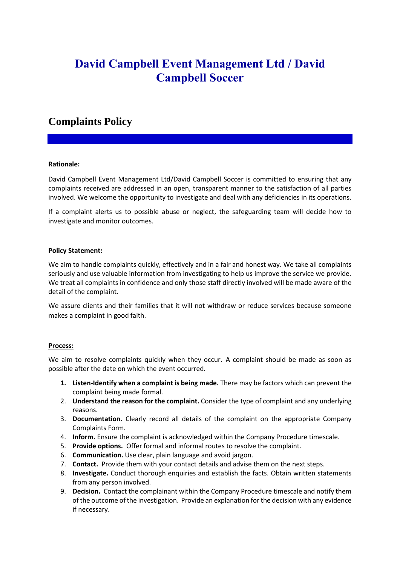# **David Campbell Event Management Ltd / David Campbell Soccer**

# **Complaints Policy**

# **Rationale:**

David Campbell Event Management Ltd/David Campbell Soccer is committed to ensuring that any complaints received are addressed in an open, transparent manner to the satisfaction of all parties involved. We welcome the opportunity to investigate and deal with any deficiencies in its operations.

If a complaint alerts us to possible abuse or neglect, the safeguarding team will decide how to investigate and monitor outcomes.

#### **Policy Statement:**

We aim to handle complaints quickly, effectively and in a fair and honest way. We take all complaints seriously and use valuable information from investigating to help us improve the service we provide. We treat all complaints in confidence and only those staff directly involved will be made aware of the detail of the complaint.

We assure clients and their families that it will not withdraw or reduce services because someone makes a complaint in good faith.

# **Process:**

We aim to resolve complaints quickly when they occur. A complaint should be made as soon as possible after the date on which the event occurred.

- **1. Listen-Identify when a complaint is being made.** There may be factors which can prevent the complaint being made formal.
- 2. **Understand the reason for the complaint.** Consider the type of complaint and any underlying reasons.
- 3. **Documentation.** Clearly record all details of the complaint on the appropriate Company Complaints Form.
- 4. **Inform.** Ensure the complaint is acknowledged within the Company Procedure timescale.
- 5. **Provide options.** Offer formal and informal routes to resolve the complaint.
- 6. **Communication.** Use clear, plain language and avoid jargon.
- 7. **Contact.** Provide them with your contact details and advise them on the next steps.
- 8. **Investigate.** Conduct thorough enquiries and establish the facts. Obtain written statements from any person involved.
- 9. **Decision.** Contact the complainant within the Company Procedure timescale and notify them of the outcome of the investigation. Provide an explanation for the decision with any evidence if necessary.